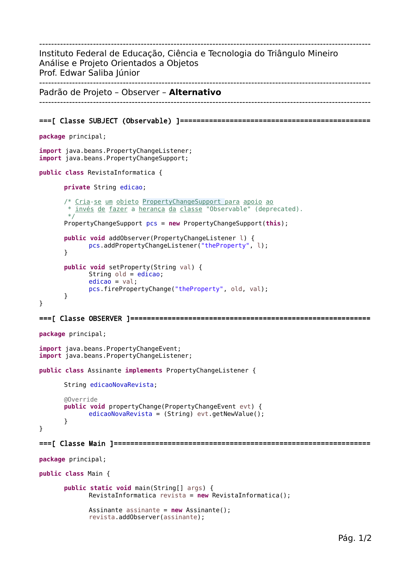--------------------------------------------------------------------------------------------------------------- Instituto Federal de Educação, Ciência e Tecnologia do Triângulo Mineiro Análise e Projeto Orientados a Objetos Prof. Edwar Saliba Júnior --------------------------------------------------------------------------------------------------------------- Padrão de Projeto – Observer – **Alternativo** --------------------------------------------------------------------------------------------------------------- ===[ Classe SUBJECT (Observable) ]============================================== **package** principal;

```
import java.beans.PropertyChangeListener;
import java.beans.PropertyChangeSupport;
public class RevistaInformatica {
      private String edicao;
      /* Cria-se um objeto PropertyChangeSupport para apoio ao
        finvés de fazer a herança da classe "Observable" (deprecated).
        */
      PropertyChangeSupport pcs = new PropertyChangeSupport(this);
      public void addObserver(PropertyChangeListener l) {
             pcs.addPropertyChangeListener("theProperty", l);
      }
      public void setProperty(String val) {
             String old = edicao;
             edicao = val;pcs.firePropertyChange("theProperty", old, val);
      }
}
===[ Classe OBSERVER ]==========================================================
```

```
package principal;
import java.beans.PropertyChangeEvent;
import java.beans.PropertyChangeListener;
public class Assinante implements PropertyChangeListener {
      String edicaoNovaRevista;
      @Override
      public void propertyChange(PropertyChangeEvent evt) {
             edicaoNovaRevista = (String) evt.getNewValue();
      }
}
===[ Classe Main ]==============================================================
package principal;
public class Main {
      public static void main(String[] args) {
             RevistaInformatica revista = new RevistaInformatica();
```

```
Assinante assinante = new Assinante();
revista.addObserver(assinante);
```